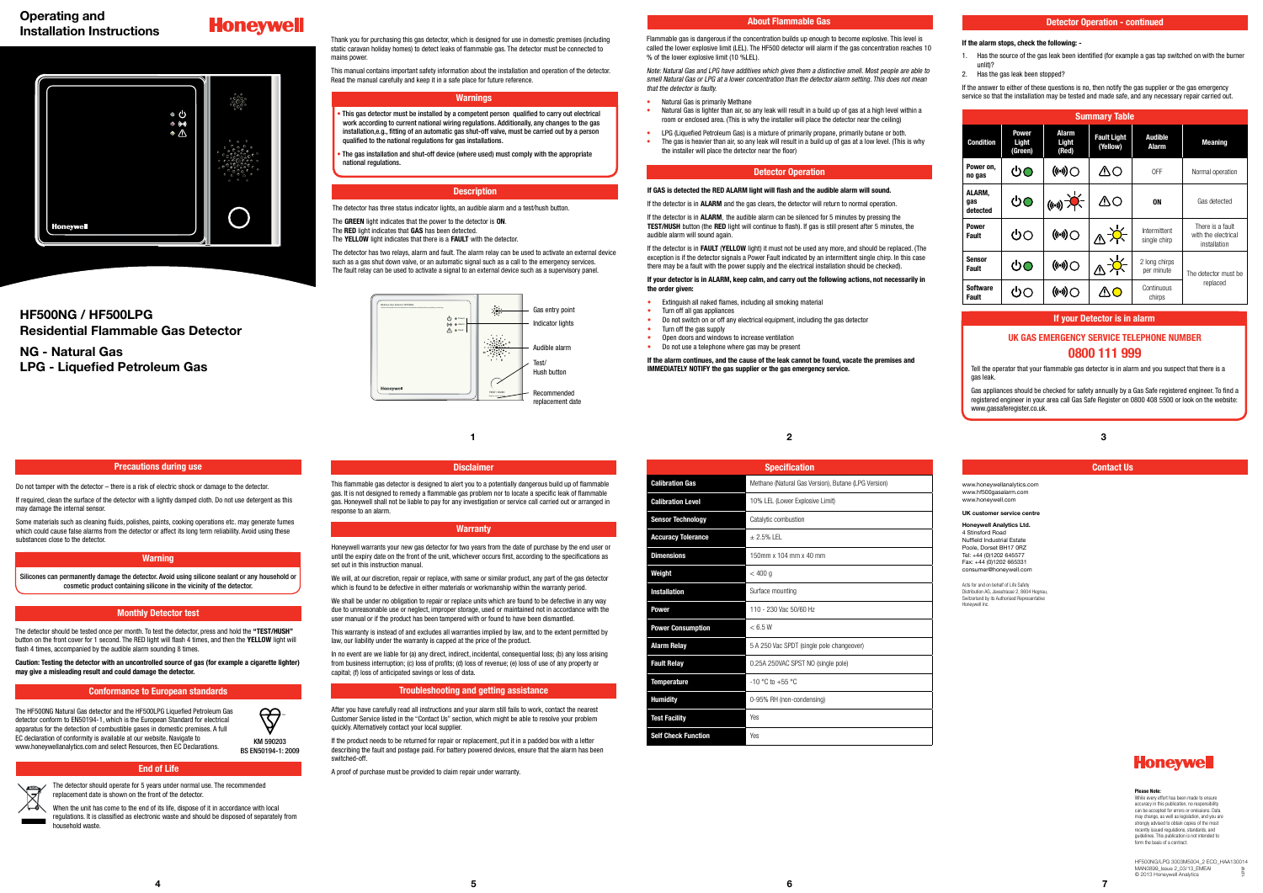| <b>Specification</b>                                |
|-----------------------------------------------------|
| Methane (Natural Gas Version), Butane (LPG Version) |
| 10% LEL (Lower Explosive Limit)                     |
| Catalytic combustion                                |
| $+2.5%$ IFI                                         |
| 150mm x 104 mm x 40 mm                              |
| < 400 q                                             |
| Surface mounting                                    |
| 110 - 230 Vac 50/60 Hz                              |
| < 6.5 W                                             |
| 5 A 250 Vac SPDT (single pole changeover)           |
| 0.25A 250VAC SPST NO (single pole)                  |
| $-10$ °C to $+55$ °C                                |
| 0-95% RH (non-condensing)                           |
| Yes                                                 |
| Yes                                                 |
|                                                     |

Note: Natural Gas and LPG have additives which gives them a distinctive smell. Most people are able to smell Natural Gas or LPG at a lower concentration than the detector alarm setting. This does not mean that the detector is faulty

Flammable gas is dangerous if the concentration builds up enough to become explosive. This level is called the lower explosive limit (LEL). The HF500 detector will alarm if the gas concentration reaches 10 % of the lower explosive limit (10 %LEL).

# **If your detector is in ALARM, keep calm, and carry out the following actions, not necessarily in**  the order given

- Natural Gas is primarily Methane
- Natural Gas is lighter than air, so any leak will result in a build up of gas at a high level within a room or enclosed area. (This is why the installer will place the detector near the ceiling)
- LPG (Liquefied Petroleum Gas) is a mixture of primarily propane, primarily butane or both. • The gas is heavier than air, so any leak will result in a build up of gas at a low level. (This is why the installer will place the detector near the floor)

- Extinguish all naked flames, including all smoking material
- Turn off all gas appliances
- Do not switch on or off any electrical equipment, including the gas detector
- Turn off the gas supply • Open doors and windows to increase ventilation
- 
- Do not use a telephone where gas may be present

# **Operating and Installation Instructions**

# **Honeywell**



Do not tamper with the detector – there is a risk of electric shock or damage to the detector. If required, clean the surface of the detector with a lightly damped cloth. Do not use detergent as this

# **HF500NG / HF500LPG Residential Flammable Gas Detector**

Some materials such as cleaning fluids, polishes, paints, cooking operations etc. may generate fumes which could cause false alarms from the detector or affect its long term reliability. Avoid using these

**NG - Natural Gas LPG - Liquefied Petroleum Gas**

# **If GAS is detected the RED ALARM light will flash and the audible alarm will sound.**

If the detector is in **ALARM** and the gas clears, the detector will return to normal operation.

If the detector is in **ALARM**, the audible alarm can be silenced for 5 minutes by pressing the **TEST/HUSH** button (the **RED** light will continue to flash). If gas is still present after 5 minutes, the audible alarm will sound again.

> Gas appliances should be checked for safety annually by a Gas Safe registered engineer. To find a registered engineer in your area call Gas Safe Register on 0800 408 5500 or look on the website: www.gassaferegister.co.uk

If the detector is in **FAULT** (**YELLOW** light) it must not be used any more, and should be replaced. (The exception is if the detector signals a Power Fault indicated by an intermittent single chirp. In this case there may be a fault with the power supply and the electrical installation should be checked).

**If the alarm continues, and the cause of the leak cannot be found, vacate the premises and IMMEDIATELY NOTIFY the gas supplier or the gas emergency service.**

## Thank you for purchasing this gas detector, which is designed for use in domestic premises (including static caravan holiday homes) to detect leaks of flammable gas. The detector must be connected to mains nower

may damage the internal sensor.

substances close to the detector.

# **End of Life**

# **Disclaimer**

# **Warranty**

# **Troubleshooting and getting assistance**

**1 2**

**Monthly Detector test**

**Conformance to European standards**

| <b>Summary Table</b>            |                                  |                          |                                |                              |                                                         |  |  |  |  |
|---------------------------------|----------------------------------|--------------------------|--------------------------------|------------------------------|---------------------------------------------------------|--|--|--|--|
| <b>Condition</b>                | <b>Power</b><br>Light<br>(Green) | Alarm<br>Light<br>(Red)  | <b>Fault Light</b><br>(Yellow) | <b>Audible</b><br>Alarm      | <b>Meaning</b>                                          |  |  |  |  |
| Power on,<br>no gas             | ტO                               | ((∾)) ()                 | MО                             | 0FF                          | Normal operation                                        |  |  |  |  |
| ALARM,<br>gas<br>detected       | ტტ                               | $(\omega)$ $\rightarrow$ | ΔO                             | <b>ON</b>                    | Gas detected                                            |  |  |  |  |
| <b>Power</b><br><b>Fault</b>    | ტი                               | (ো) (                    | ∆☆                             | Intermittent<br>single chirp | There is a fault<br>with the electrical<br>installation |  |  |  |  |
| Sensor<br><b>Fault</b>          | ឹറ                               | (…) ⊜                    |                                | 2 long chirps<br>per minute  | The detector must be                                    |  |  |  |  |
| <b>Software</b><br><b>Fault</b> | ጣገ                               | ((⊶)) (                  |                                | Continuous<br>chirps         | replaced                                                |  |  |  |  |

# **UK GAS EMERGENCY SERVICE TELEPHONE NUMBER 0800 111 999**

Tell the operator that your flammable gas detector is in alarm and you suspect that there is a gas leak.

# **If your Detector is in alarm**

# **About Flammable Gas**

# **Contact Us**

www.honeywellanalytics.com www.hf500gasalarm.com www.honeywell.com

Honeywell warrants your new gas detector for two years from the date of purchase by the end user or until the expiry date on the front of the unit, whichever occurs first, according to the specifications as set out in this instruction manual.

### **UK customer service centre**

# **Honeywell Analytics Ltd.** 4 Stinsford Road

Nuffield Industrial Estate Poole, Dorset BH17 0RZ Tel: +44 (0)1202 645577 Fax: +44 (0)1202 665331 consumer@honeywell.com

We will, at our discretion, repair or replace, with same or similar product, any part of the gas detector which is found to be defective in either materials or workmanship within the warranty period.

Acts for and on behalf of Life Safety Distribution AG, Javastrasse 2, 8604 Hegnau, Switzerland by its Authorised Representative Honeywell Inc.



We shall be under no obligation to repair or replace units which are found to be defective in any way due to unreasonable use or neglect, improper storage, used or maintained not in accordance with the user manual or if the product has been tampered with or found to have been dismantled.

> **Please Note:** While every effort has been made to ensure accuracy in this publication, no responsibility can be accepted for errors or omissions. Data may change, as well as legislation, and you are strongly advised to obtain copies of the most recently issued regulations, standards, and guidelines. This publication is not intended to form the basis of a contract.

HF500NG/LPG 3003M5004\_2 ECO\_HAA130014 MAN0899\_Issue 2\_03/13\_EMEAI © 2013 Honeywell Analytics 12797

# **Detector Operation**

# **Detector Operation - continued**

### **If the alarm stops, check the following: -**

- 1. Has the source of the gas leak been identified (for example a gas tap switched on with the burner unlit)?
- 2. Has the gas leak been stopped?

If the answer to either of these questions is no, then notify the gas supplier or the gas emergency service so that the installation may be tested and made safe, and any necessary repair carried out.

**4**

**3**



This manual contains important safety information about the installation and operation of the detector. Read the manual carefully and keep it in a safe place for future reference.

# **Warnings**

• This gas detector must be installed by a competent person qualified to carry out electrical work according to current national wiring regulations. Additionally, any changes to the gas installation,e.g., fitting of an automatic gas shut-off valve, must be carried out by a person qualified to the national regulations for gas installations.

• The gas installation and shut-off device (where used) must comply with the appropriate national regulations.

The detector has three status indicator lights, an audible alarm and a test/hush button.

- The **GREEN** light indicates that the power to the detector is **ON**.
- The **RED** light indicates that **GAS** has been detected.
- The **YELLOW** light indicates that there is a **FAULT** with the detector.

The detector has two relays, alarm and fault. The alarm relay can be used to activate an external device such as a gas shut down valve, or an automatic signal such as a call to the emergency services. The fault relay can be used to activate a signal to an external device such as a supervisory panel.

# **Description**

The detector should be tested once per month. To test the detector, press and hold the **"TEST/HUSH"** button on the front cover for 1 second. The RED light will flash 4 times, and then the **YELLOW** light will

flash 4 times, accompanied by the audible alarm sounding 8 times.

**Caution: Testing the detector with an uncontrolled source of gas (for example a cigarette lighter)** 

**Precautions during use** 

**may give a misleading result and could damage the detector.**

The HF500NG Natural Gas detector and the HF500LPG Liquefied Petroleum Gas detector conform to EN50194-1, which is the European Standard for electrical



EC declaration of conformity is available at our website. Navigate to www.honeywellanalytics.com and select Resources, then EC Declarations.



replacement date is shown on the front of the detector. When the unit has come to the end of its life, dispose of it in accordance with local

regulations. It is classified as electronic waste and should be disposed of separately from household waste.

This flammable gas detector is designed to alert you to a potentially dangerous build up of flammable gas. It is not designed to remedy a flammable gas problem nor to locate a specific leak of flammable gas. Honeywell shall not be liable to pay for any investigation or service call carried out or arranged in response to an alarm.

This warranty is instead of and excludes all warranties implied by law, and to the extent permitted by law, our liability under the warranty is capped at the price of the product.

In no event are we liable for (a) any direct, indirect, incidental, consequential loss; (b) any loss arising from business interruption; (c) loss of profits; (d) loss of revenue; (e) loss of use of any property or capital; (f) loss of anticipated savings or loss of data.

After you have carefully read all instructions and your alarm still fails to work, contact the nearest Customer Service listed in the "Contact Us" section, which might be able to resolve your problem quickly. Alternatively contact your local supplier.

If the product needs to be returned for repair or replacement, put it in a padded box with a letter describing the fault and postage paid. For battery powered devices, ensure that the alarm has been switched-off.

A proof of purchase must be provided to claim repair under warranty.

**Warning** Silicones can permanently damage the detector. Avoid using silicone sealant or any household or cosmetic product containing silicone in the vicinity of the detector.

> KM 590203 BS EN50194-1: 2009

TM